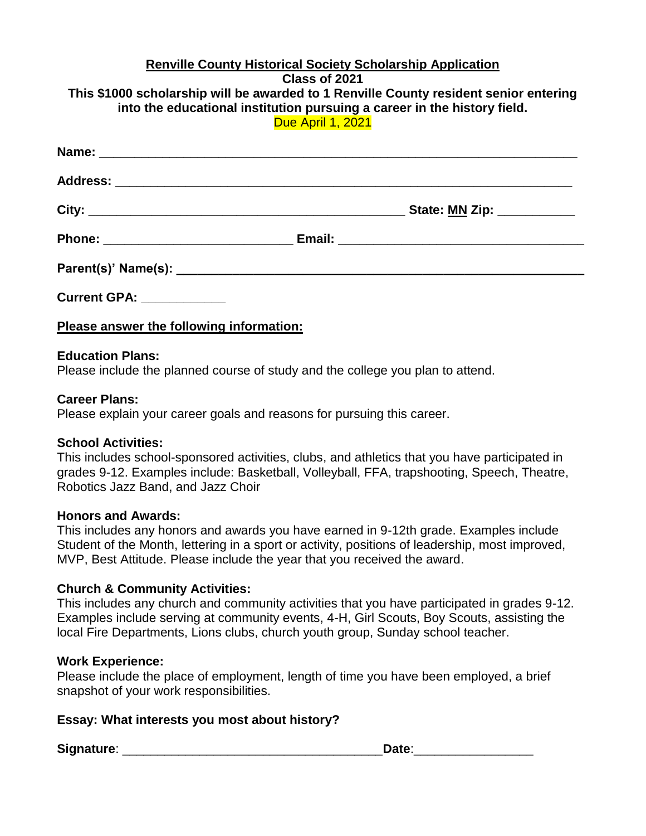#### **Renville County Historical Society Scholarship Application Class of 2021 This \$1000 scholarship will be awarded to 1 Renville County resident senior entering into the educational institution pursuing a career in the history field.** Due April 1, 2021

|                                   | _ State: <u>MN</u> Zip: ___________ |
|-----------------------------------|-------------------------------------|
|                                   |                                     |
|                                   |                                     |
| <b>Current GPA: _____________</b> |                                     |

**Please answer the following information:**

## **Education Plans:**

Please include the planned course of study and the college you plan to attend.

### **Career Plans:**

Please explain your career goals and reasons for pursuing this career.

## **School Activities:**

This includes school-sponsored activities, clubs, and athletics that you have participated in grades 9-12. Examples include: Basketball, Volleyball, FFA, trapshooting, Speech, Theatre, Robotics Jazz Band, and Jazz Choir

#### **Honors and Awards:**

This includes any honors and awards you have earned in 9-12th grade. Examples include Student of the Month, lettering in a sport or activity, positions of leadership, most improved, MVP, Best Attitude. Please include the year that you received the award.

## **Church & Community Activities:**

This includes any church and community activities that you have participated in grades 9-12. Examples include serving at community events, 4-H, Girl Scouts, Boy Scouts, assisting the local Fire Departments, Lions clubs, church youth group, Sunday school teacher.

#### **Work Experience:**

Please include the place of employment, length of time you have been employed, a brief snapshot of your work responsibilities.

## **Essay: What interests you most about history?**